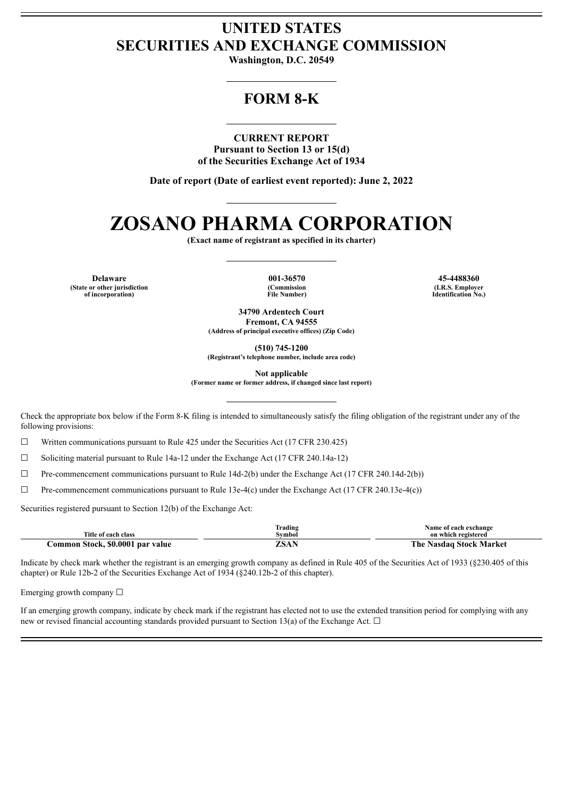## **UNITED STATES SECURITIES AND EXCHANGE COMMISSION**

**Washington, D.C. 20549**

## **FORM 8-K**

### **CURRENT REPORT**

**Pursuant to Section 13 or 15(d) of the Securities Exchange Act of 1934**

**Date of report (Date of earliest event reported): June 2, 2022**

# **ZOSANO PHARMA CORPORATION**

**(Exact name of registrant as specified in its charter)**

**Delaware 001-36570 45-4488360 (State or other jurisdiction of incorporation)**

**(Commission File Number)**

**(I.R.S. Employer Identification No.)**

**34790 Ardentech Court Fremont, CA 94555 (Address of principal executive offices) (Zip Code)**

**(510) 745-1200**

**(Registrant's telephone number, include area code)**

**Not applicable**

**(Former name or former address, if changed since last report)**

Check the appropriate box below if the Form 8-K filing is intended to simultaneously satisfy the filing obligation of the registrant under any of the following provisions:

☐ Written communications pursuant to Rule 425 under the Securities Act (17 CFR 230.425)

☐ Soliciting material pursuant to Rule 14a-12 under the Exchange Act (17 CFR 240.14a-12)

☐ Pre-commencement communications pursuant to Rule 14d-2(b) under the Exchange Act (17 CFR 240.14d-2(b))

☐ Pre-commencement communications pursuant to Rule 13e-4(c) under the Exchange Act (17 CFR 240.13e-4(c))

Securities registered pursuant to Section 12(b) of the Exchange Act:

| Title of each class              | Frading<br>Svmbol | Name of each exchange<br>on which registered |
|----------------------------------|-------------------|----------------------------------------------|
| Common Stock, \$0.0001 par value | ZSAN              | The Nasdag Stock Market                      |

Indicate by check mark whether the registrant is an emerging growth company as defined in Rule 405 of the Securities Act of 1933 (§230.405 of this chapter) or Rule 12b-2 of the Securities Exchange Act of 1934 (§240.12b-2 of this chapter).

Emerging growth company  $\Box$ 

If an emerging growth company, indicate by check mark if the registrant has elected not to use the extended transition period for complying with any new or revised financial accounting standards provided pursuant to Section 13(a) of the Exchange Act.  $\Box$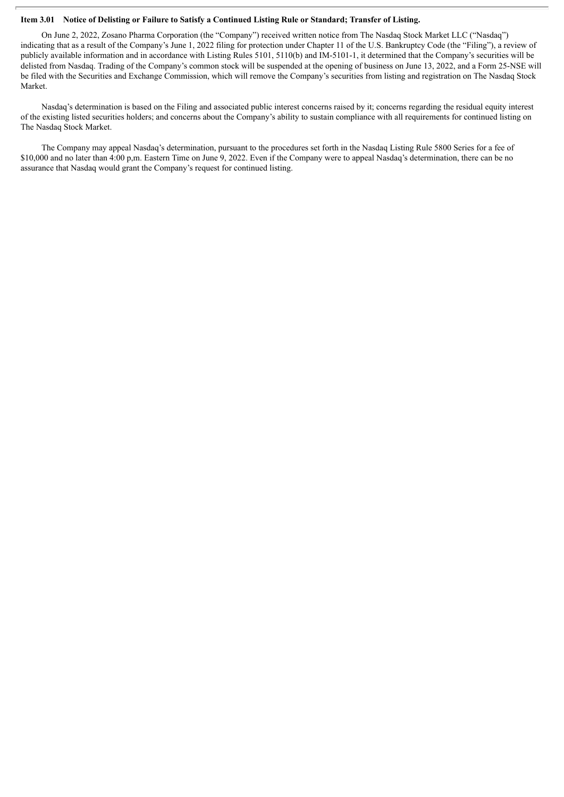#### Item 3.01 Notice of Delisting or Failure to Satisfy a Continued Listing Rule or Standard; Transfer of Listing.

On June 2, 2022, Zosano Pharma Corporation (the "Company") received written notice from The Nasdaq Stock Market LLC ("Nasdaq") indicating that as a result of the Company's June 1, 2022 filing for protection under Chapter 11 of the U.S. Bankruptcy Code (the "Filing"), a review of publicly available information and in accordance with Listing Rules 5101, 5110(b) and IM-5101-1, it determined that the Company's securities will be delisted from Nasdaq. Trading of the Company's common stock will be suspended at the opening of business on June 13, 2022, and a Form 25-NSE will be filed with the Securities and Exchange Commission, which will remove the Company's securities from listing and registration on The Nasdaq Stock Market.

Nasdaq's determination is based on the Filing and associated public interest concerns raised by it; concerns regarding the residual equity interest of the existing listed securities holders; and concerns about the Company's ability to sustain compliance with all requirements for continued listing on The Nasdaq Stock Market.

The Company may appeal Nasdaq's determination, pursuant to the procedures set forth in the Nasdaq Listing Rule 5800 Series for a fee of \$10,000 and no later than 4:00 p,m. Eastern Time on June 9, 2022. Even if the Company were to appeal Nasdaq's determination, there can be no assurance that Nasdaq would grant the Company's request for continued listing.